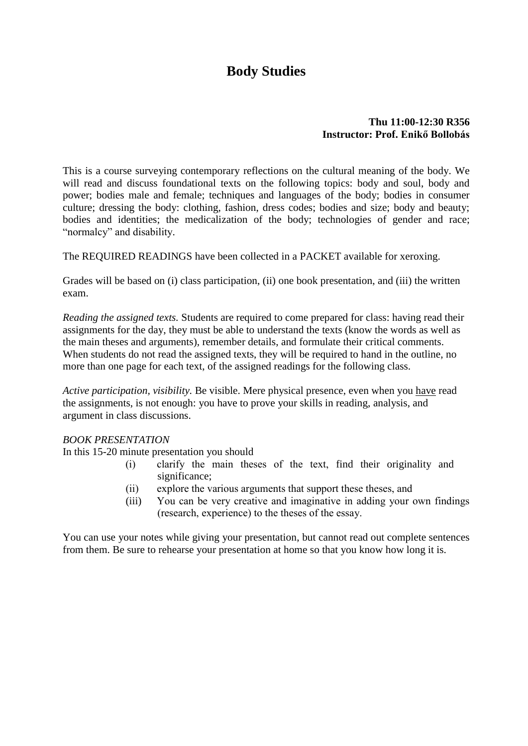# **Body Studies**

#### **Thu 11:00-12:30 R356 Instructor: Prof. Enikő Bollobás**

This is a course surveying contemporary reflections on the cultural meaning of the body. We will read and discuss foundational texts on the following topics: body and soul, body and power; bodies male and female; techniques and languages of the body; bodies in consumer culture; dressing the body: clothing, fashion, dress codes; bodies and size; body and beauty; bodies and identities; the medicalization of the body; technologies of gender and race; "normalcy" and disability.

The REQUIRED READINGS have been collected in a PACKET available for xeroxing.

Grades will be based on (i) class participation, (ii) one book presentation, and (iii) the written exam.

*Reading the assigned texts.* Students are required to come prepared for class: having read their assignments for the day, they must be able to understand the texts (know the words as well as the main theses and arguments), remember details, and formulate their critical comments. When students do not read the assigned texts, they will be required to hand in the outline, no more than one page for each text, of the assigned readings for the following class.

*Active participation, visibility.* Be visible. Mere physical presence, even when you have read the assignments, is not enough: you have to prove your skills in reading, analysis, and argument in class discussions.

#### *BOOK PRESENTATION*

In this 15-20 minute presentation you should

- (i) clarify the main theses of the text, find their originality and significance:
- (ii) explore the various arguments that support these theses, and
- (iii) You can be very creative and imaginative in adding your own findings (research, experience) to the theses of the essay.

You can use your notes while giving your presentation, but cannot read out complete sentences from them. Be sure to rehearse your presentation at home so that you know how long it is.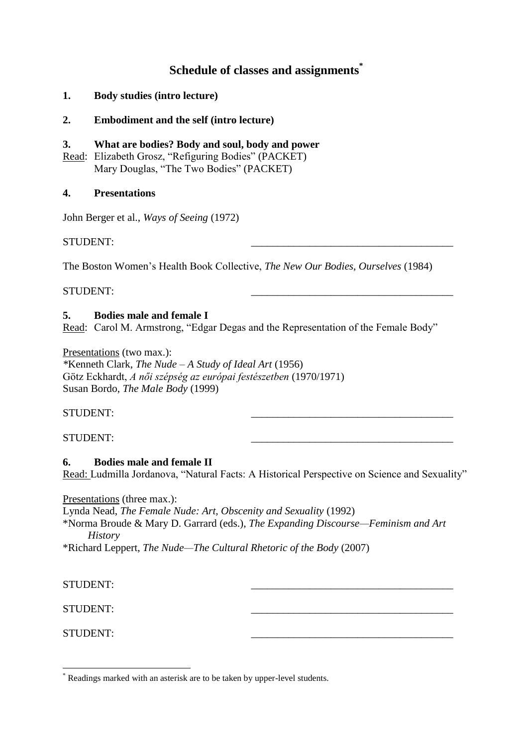## **Schedule of classes and assignments\***

- **1. Body studies (intro lecture)**
- **2. Embodiment and the self (intro lecture)**

#### **3. What are bodies? Body and soul, body and power**

Read: Elizabeth Grosz, "Refiguring Bodies" (PACKET) Mary Douglas, "The Two Bodies" (PACKET)

#### **4. Presentations**

John Berger et al., *Ways of Seeing* (1972)

STUDENT:

The Boston Women's Health Book Collective, *The New Our Bodies, Ourselves* (1984)

STUDENT:

#### **5. Bodies male and female I**

Read: Carol M. Armstrong, "Edgar Degas and the Representation of the Female Body"

Presentations (two max.):

*\**Kenneth Clark, *The Nude – A Study of Ideal Art* (1956) Götz Eckhardt, *A női szépség az európai festészetben* (1970/1971) Susan Bordo, *The Male Body* (1999)

#### STUDENT:

#### STUDENT:

#### **6. Bodies male and female II**

Read: Ludmilla Jordanova, "Natural Facts: A Historical Perspective on Science and Sexuality"

Presentations (three max.):

Lynda Nead, *The Female Nude: Art, Obscenity and Sexuality* (1992)

\*Norma Broude & Mary D. Garrard (eds.), *The Expanding Discourse—Feminism and Art History*

\*Richard Leppert, *The Nude—The Cultural Rhetoric of the Body* (2007)

STUDENT:

STUDENT:

STUDENT:

1

Readings marked with an asterisk are to be taken by upper-level students.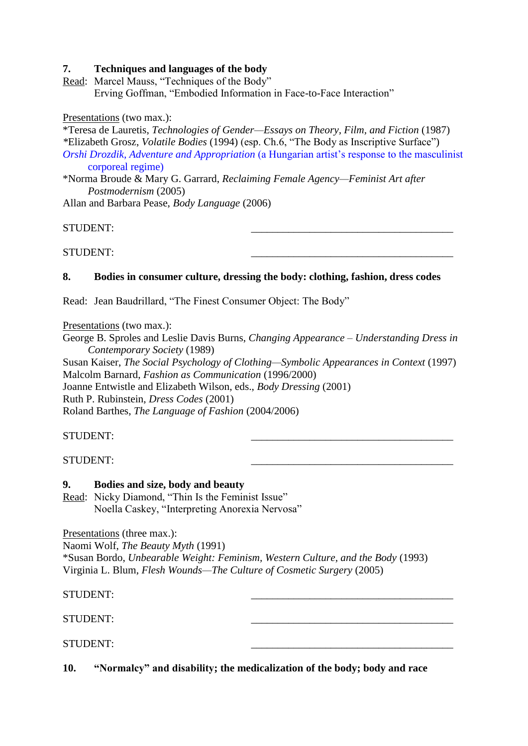#### **7. Techniques and languages of the body**

Read: Marcel Mauss, "Techniques of the Body" Erving Goffman, "Embodied Information in Face-to-Face Interaction"

Presentations (two max.):

\*Teresa de Lauretis, *Technologies of Gender—Essays on Theory, Film, and Fiction* (1987) *\**Elizabeth Grosz, *Volatile Bodies* (1994) (esp. Ch.6, "The Body as Inscriptive Surface") *Orshi Drozdik, Adventure and Appropriation* (a Hungarian artist's response to the masculinist corporeal regime)

\*Norma Broude & Mary G. Garrard, *Reclaiming Female Agency—Feminist Art after Postmodernism* (2005)

Allan and Barbara Pease, *Body Language* (2006)

STUDENT:

STUDENT: \_\_\_\_\_\_\_\_\_\_\_\_\_\_\_\_\_\_\_\_\_\_\_\_\_\_\_\_\_\_\_\_\_\_\_\_\_\_

### **8. Bodies in consumer culture, dressing the body: clothing, fashion, dress codes**

Read: Jean Baudrillard, "The Finest Consumer Object: The Body"

Presentations (two max.):

George B. Sproles and Leslie Davis Burns, *Changing Appearance – Understanding Dress in Contemporary Society* (1989)

Susan Kaiser, *The Social Psychology of Clothing—Symbolic Appearances in Context* (1997) Malcolm Barnard, *Fashion as Communication* (1996/2000) Joanne Entwistle and Elizabeth Wilson, eds., *Body Dressing* (2001) Ruth P. Rubinstein, *Dress Codes* (2001) Roland Barthes, *The Language of Fashion* (2004/2006)

STUDENT: \_\_\_\_\_\_\_\_\_\_\_\_\_\_\_\_\_\_\_\_\_\_\_\_\_\_\_\_\_\_\_\_\_\_\_\_\_\_

STUDENT:

#### **9. Bodies and size, body and beauty**

Read: Nicky Diamond, "Thin Is the Feminist Issue" Noella Caskey, "Interpreting Anorexia Nervosa"

Presentations (three max.):

Naomi Wolf, *The Beauty Myth* (1991)

\*Susan Bordo, *Unbearable Weight: Feminism, Western Culture, and the Body* (1993) Virginia L. Blum, *Flesh Wounds—The Culture of Cosmetic Surgery* (2005)

STUDENT:

STUDENT:

STUDENT:

**10. "Normalcy" and disability; the medicalization of the body; body and race**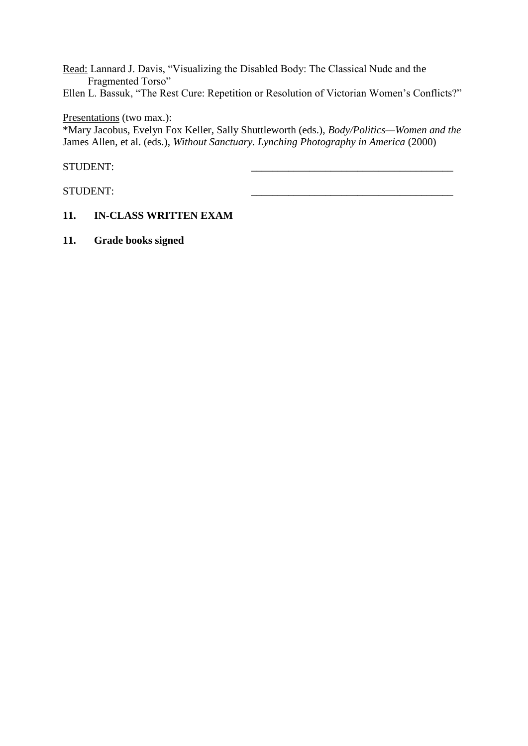Read: Lannard J. Davis, "Visualizing the Disabled Body: The Classical Nude and the Fragmented Torso"

Ellen L. Bassuk, "The Rest Cure: Repetition or Resolution of Victorian Women's Conflicts?"

#### Presentations (two max.):

\*Mary Jacobus, Evelyn Fox Keller, Sally Shuttleworth (eds.), *Body/Politics—Women and the*  James Allen, et al. (eds.), *Without Sanctuary. Lynching Photography in America* (2000)

#### STUDENT:

STUDENT:

### **11. IN-CLASS WRITTEN EXAM**

**11. Grade books signed**